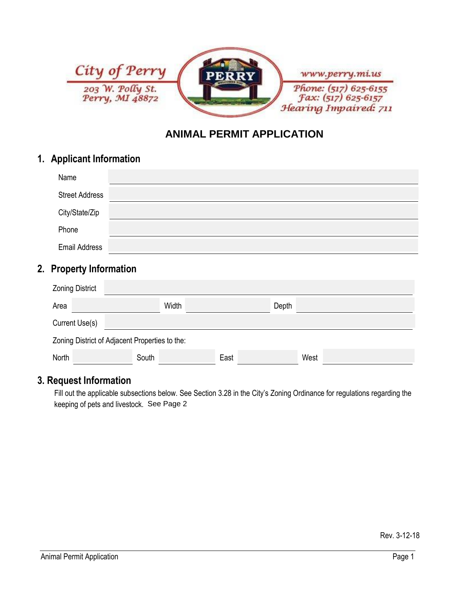

# **ANIMAL PERMIT APPLICATION**

### **1. Applicant Information**

| Name                  |  |
|-----------------------|--|
| <b>Street Address</b> |  |
| City/State/Zip        |  |
| Phone                 |  |
| <b>Email Address</b>  |  |

### **2. Property Information**

| <b>Zoning District</b>                         |       |       |      |       |      |  |  |
|------------------------------------------------|-------|-------|------|-------|------|--|--|
| Area                                           |       | Width |      | Depth |      |  |  |
| Current Use(s)                                 |       |       |      |       |      |  |  |
| Zoning District of Adjacent Properties to the: |       |       |      |       |      |  |  |
| North                                          | South |       | East |       | West |  |  |

## **3. Request Information**

Fill out the applicable subsections below. See Section 3.28 in the City's Zoning Ordinance for regulations regarding the keeping of pets and livestock. See Page 2